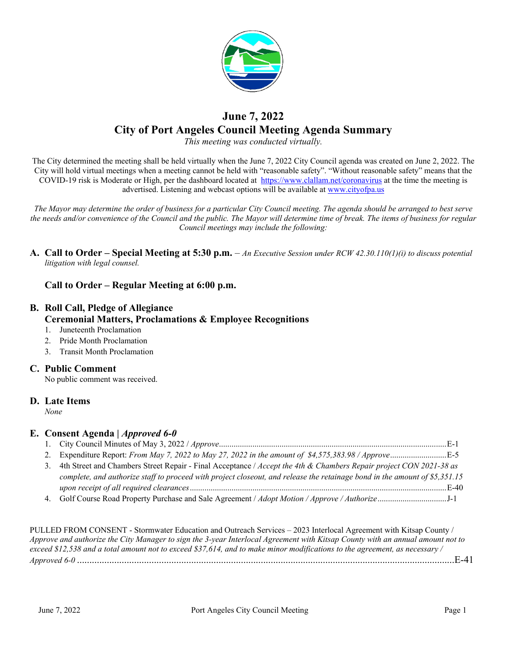

# **June 7, 2022 City of Port Angeles Council Meeting Agenda Summary**

*This meeting was conducted virtually.*

The City determined the meeting shall be held virtually when the June 7, 2022 City Council agenda was created on June 2, 2022. The City will hold virtual meetings when a meeting cannot be held with "reasonable safety". "Without reasonable safety" means that the COVID-19 risk is Moderate or High, per the dashboard located at [https://www.clallam.net/coronavirus](https://gcc02.safelinks.protection.outlook.com/?url=https%3A%2F%2Fwww.clallam.net%2Fcoronavirus&data=05%7C01%7CScurran%40cityofpa.us%7Cc749505f484d4f6dd72608da3eb24b9e%7C57b967ad7ef047f092f508dad41714f3%7C0%7C0%7C637891232755993346%7CUnknown%7CTWFpbGZsb3d8eyJWIjoiMC4wLjAwMDAiLCJQIjoiV2luMzIiLCJBTiI6Ik1haWwiLCJXVCI6Mn0%3D%7C3000%7C%7C%7C&sdata=MItQwEUrh2tiNUmzqZKsVPQRPcxu6hAY%2BuSFnIm6l0o%3D&reserved=0) at the time the meeting is advertised. Listening and webcast options will be available at [www.cityofpa.us](http://www.cityofpa.us/) 

*The Mayor may determine the order of business for a particular City Council meeting. The agenda should be arranged to best serve the needs and/or convenience of the Council and the public. The Mayor will determine time of break. The items of business for regular Council meetings may include the following:*

**A. Call to Order – Special Meeting at 5:30 p.m.** – *An Executive Session under RCW 42.30.110(1)(i) to discuss potential litigation with legal counsel.*

### **Call to Order – Regular Meeting at 6:00 p.m.**

## **B. Roll Call, Pledge of Allegiance Ceremonial Matters, Proclamations & Employee Recognitions**

- 1. Juneteenth Proclamation
- 2. Pride Month Proclamation
- 3. Transit Month Proclamation

#### **C. Public Comment**

No public comment was received.

#### **D. Late Items**

*None*

#### **E. Consent Agenda |** *Approved 6-0*

| 3. 4th Street and Chambers Street Repair - Final Acceptance / Accept the 4th & Chambers Repair project CON 2021-38 as      |  |
|----------------------------------------------------------------------------------------------------------------------------|--|
| complete, and authorize staff to proceed with project closeout, and release the retainage bond in the amount of \$5,351.15 |  |
|                                                                                                                            |  |
|                                                                                                                            |  |

PULLED FROM CONSENT - Stormwater Education and Outreach Services – 2023 Interlocal Agreement with Kitsap County / *Approve and authorize the City Manager to sign the 3-year Interlocal Agreement with Kitsap County with an annual amount not to exceed \$12,538 and a total amount not to exceed \$37,614, and to make minor modifications to the agreement, as necessary / Approved 6-0* ........................................................................................................................................................E-41